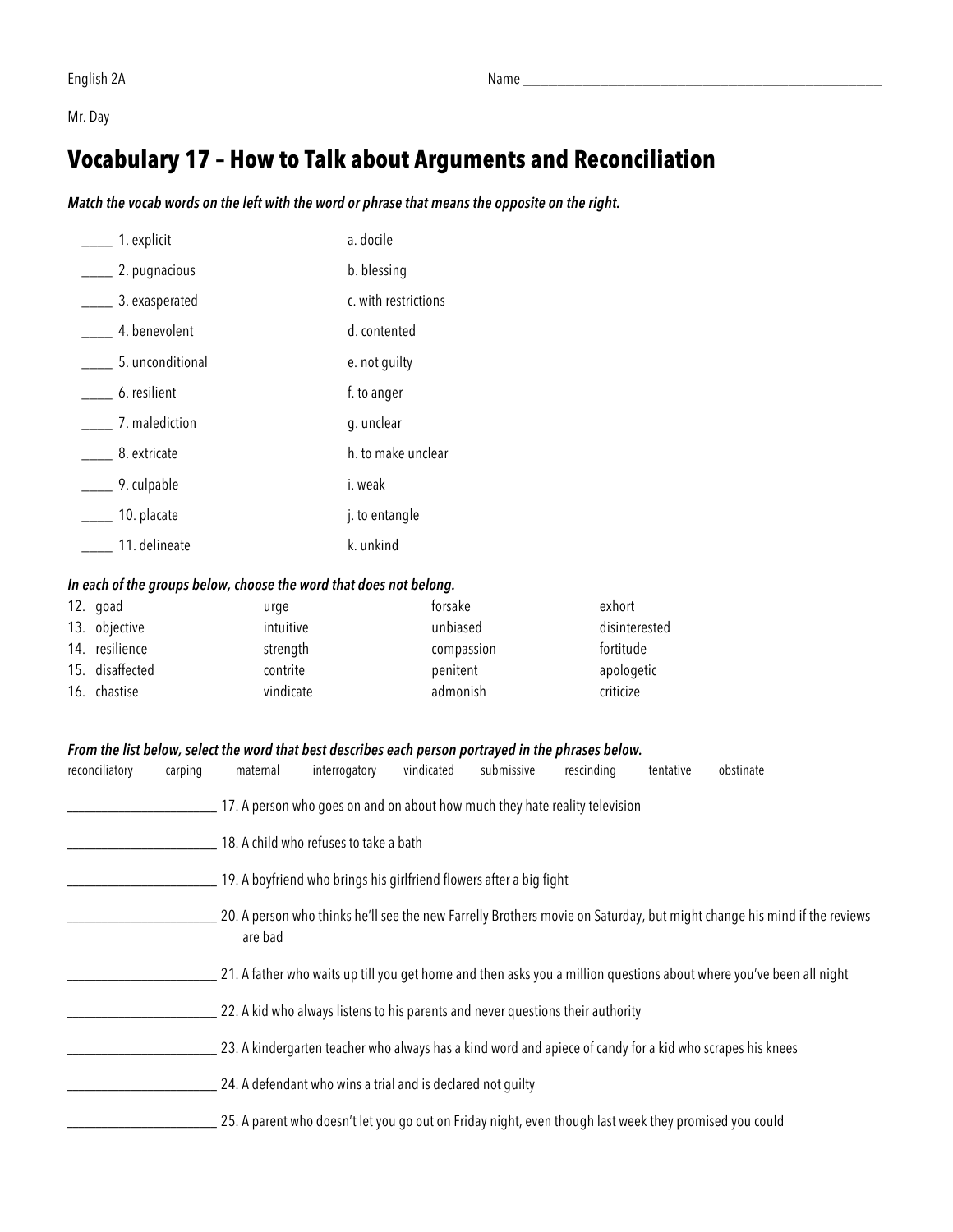Mr. Day

### **Vocabulary 17 – How to Talk about Arguments and Reconciliation**

*Match the vocab words on the left with the word or phrase that means the opposite on the right.* 

| 1. explicit      | a. docile            |
|------------------|----------------------|
| 2. pugnacious    | b. blessing          |
| 3. exasperated   | c. with restrictions |
| 4. benevolent    | d. contented         |
| 5. unconditional | e. not guilty        |
| 6. resilient     | f. to anger          |
| 7. malediction   | g. unclear           |
| 8. extricate     | h, to make unclear   |
| 9. culpable      | i. weak              |
| 10. placate      | j. to entangle       |
| 11. delineate    | k. unkind            |

#### *In each of the groups below, choose the word that does not belong.*

| 12. goad        | urge      | forsake    | exhort        |
|-----------------|-----------|------------|---------------|
| 13. objective   | intuitive | unbiased   | disinterested |
| 14. resilience  | strength  | compassion | fortitude     |
| 15. disaffected | contrite  | penitent   | apologetic    |
| 16. chastise    | vindicate | admonish   | criticize     |

#### *From the list below, select the word that best describes each person portrayed in the phrases below.*

| reconciliatory | carping | maternal                                                                                                                           | interrogatory                          | vindicated | submissive | rescinding | tentative | obstinate                                                                                                           |
|----------------|---------|------------------------------------------------------------------------------------------------------------------------------------|----------------------------------------|------------|------------|------------|-----------|---------------------------------------------------------------------------------------------------------------------|
|                |         | 17. A person who goes on and on about how much they hate reality television                                                        |                                        |            |            |            |           |                                                                                                                     |
|                |         |                                                                                                                                    | 18. A child who refuses to take a bath |            |            |            |           |                                                                                                                     |
|                |         | 19. A boyfriend who brings his girlfriend flowers after a big fight                                                                |                                        |            |            |            |           |                                                                                                                     |
|                |         | 20. A person who thinks he'll see the new Farrelly Brothers movie on Saturday, but might change his mind if the reviews<br>are bad |                                        |            |            |            |           |                                                                                                                     |
|                |         |                                                                                                                                    |                                        |            |            |            |           | 21. A father who waits up till you get home and then asks you a million questions about where you've been all night |
|                |         | 22. A kid who always listens to his parents and never questions their authority                                                    |                                        |            |            |            |           |                                                                                                                     |
|                |         | 23. A kindergarten teacher who always has a kind word and apiece of candy for a kid who scrapes his knees                          |                                        |            |            |            |           |                                                                                                                     |
|                |         | 24. A defendant who wins a trial and is declared not quilty                                                                        |                                        |            |            |            |           |                                                                                                                     |
|                |         | 25. A parent who doesn't let you go out on Friday night, even though last week they promised you could                             |                                        |            |            |            |           |                                                                                                                     |